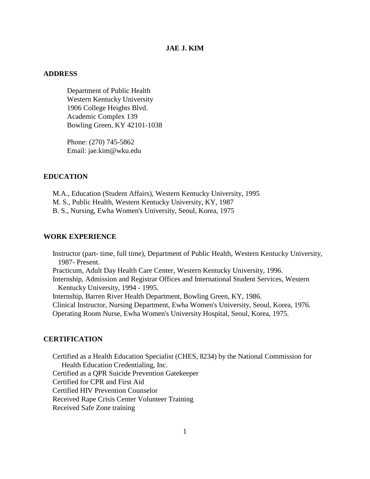### **JAE J. KIM**

#### **ADDRESS**

 Department of Public Health Western Kentucky University 1906 College Heights Blvd. Academic Complex 139 Bowling Green, KY 42101-1038

 Phone: (270) 745-5862 Email: jae.kim@wku.edu

## **EDUCATION**

 M.A., Education (Student Affairs), Western Kentucky University, 1995 M. S., Public Health, Western Kentucky University, KY, 1987 B. S., Nursing, Ewha Women's University, Seoul, Korea, 1975

#### **WORK EXPERIENCE**

 Instructor (part- time, full time), Department of Public Health, Western Kentucky University, 1987- Present. Practicum, Adult Day Health Care Center, Western Kentucky University, 1996. Internship, Admission and Registrar Offices and International Student Services, Western Kentucky University, 1994 - 1995. Internship, Barren River Health Department, Bowling Green, KY, 1986. Clinical Instructor, Nursing Department, Ewha Women's University, Seoul, Korea, 1976. Operating Room Nurse, Ewha Women's University Hospital, Seoul, Korea, 1975.

#### **CERTIFICATION**

 Certified as a Health Education Specialist (CHES, 8234) by the National Commission for Health Education Credentialing, Inc. Certified as a QPR Suicide Prevention Gatekeeper Certified for CPR and First Aid Certified HIV Prevention Counselor Received Rape Crisis Center Volunteer Training Received Safe Zone training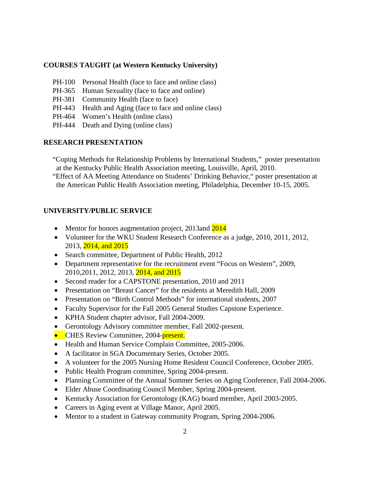## **COURSES TAUGHT (at Western Kentucky University)**

- PH-100 Personal Health (face to face and online class)
- PH-365 Human Sexuality (face to face and online)
- PH-381 Community Health (face to face)
- PH-443 Health and Aging (face to face and online class)
- PH-464 Women's Health (online class)
- PH-444 Death and Dying (online class)

#### **RESEARCH PRESENTATION**

"Coping Methods for Relationship Problems by International Students," poster presentation at the Kentucky Public Health Association meeting, Louisville, April, 2010.

"Effect of AA Meeting Attendance on Students' Drinking Behavior," poster presentation at the American Public Health Association meeting, Philadelphia, December 10-15, 2005.

### **UNIVERSITY/PUBLIC SERVICE**

- Mentor for honors augmentation project, 2013and 2014
- Volunteer for the WKU Student Research Conference as a judge, 2010, 2011, 2012, 2013, 2014, and 2015
- Search committee, Department of Public Health, 2012
- Department representative for the recruitment event "Focus on Western", 2009, 2010,2011, 2012, 2013, 2014, and 2015
- Second reader for a CAPSTONE presentation, 2010 and 2011
- Presentation on "Breast Cancer" for the residents at Meredith Hall, 2009
- Presentation on "Birth Control Methods" for international students, 2007
- Faculty Supervisor for the Fall 2005 General Studies Capstone Experience.
- KPHA Student chapter advisor, Fall 2004-2009.
- Gerontology Advisory committee member, Fall 2002-present.
- CHES Review Committee, 2004-**present.**
- Health and Human Service Complain Committee, 2005-2006.
- A facilitator in SGA Documentary Series, October 2005.
- A volunteer for the 2005 Nursing Home Resident Council Conference, October 2005.
- Public Health Program committee, Spring 2004-present.
- Planning Committee of the Annual Summer Series on Aging Conference, Fall 2004-2006.
- Elder Abuse Coordinating Council Member, Spring 2004-present.
- Kentucky Association for Gerontology (KAG) board member, April 2003-2005.
- Careers in Aging event at Village Manor, April 2005.
- Mentor to a student in Gateway community Program, Spring 2004-2006.